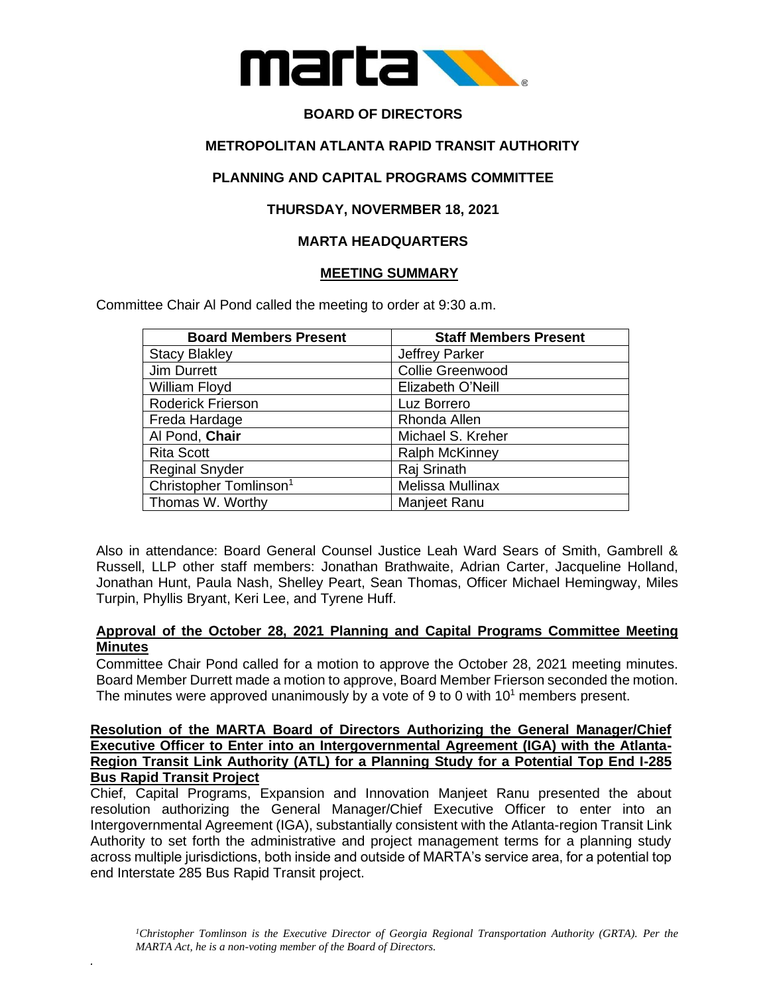

# **BOARD OF DIRECTORS**

# **METROPOLITAN ATLANTA RAPID TRANSIT AUTHORITY**

### **PLANNING AND CAPITAL PROGRAMS COMMITTEE**

### **THURSDAY, NOVERMBER 18, 2021**

# **MARTA HEADQUARTERS**

#### **MEETING SUMMARY**

Committee Chair Al Pond called the meeting to order at 9:30 a.m.

| <b>Board Members Present</b>       | <b>Staff Members Present</b> |
|------------------------------------|------------------------------|
| <b>Stacy Blakley</b>               | <b>Jeffrey Parker</b>        |
| <b>Jim Durrett</b>                 | <b>Collie Greenwood</b>      |
| William Floyd                      | Elizabeth O'Neill            |
| Roderick Frierson                  | Luz Borrero                  |
| Freda Hardage                      | Rhonda Allen                 |
| Al Pond, Chair                     | Michael S. Kreher            |
| <b>Rita Scott</b>                  | <b>Ralph McKinney</b>        |
| <b>Reginal Snyder</b>              | Raj Srinath                  |
| Christopher Tomlinson <sup>1</sup> | Melissa Mullinax             |
| Thomas W. Worthy                   | Manjeet Ranu                 |

Also in attendance: Board General Counsel Justice Leah Ward Sears of Smith, Gambrell & Russell, LLP other staff members: Jonathan Brathwaite, Adrian Carter, Jacqueline Holland, Jonathan Hunt, Paula Nash, Shelley Peart, Sean Thomas, Officer Michael Hemingway, Miles Turpin, Phyllis Bryant, Keri Lee, and Tyrene Huff.

#### **Approval of the October 28, 2021 Planning and Capital Programs Committee Meeting Minutes**

Committee Chair Pond called for a motion to approve the October 28, 2021 meeting minutes. Board Member Durrett made a motion to approve, Board Member Frierson seconded the motion. The minutes were approved unanimously by a vote of 9 to 0 with  $10<sup>1</sup>$  members present.

#### **Resolution of the MARTA Board of Directors Authorizing the General Manager/Chief Executive Officer to Enter into an Intergovernmental Agreement (IGA) with the Atlanta-Region Transit Link Authority (ATL) for a Planning Study for a Potential Top End I-285 Bus Rapid Transit Project**

Chief, Capital Programs, Expansion and Innovation Manjeet Ranu presented the about resolution authorizing the General Manager/Chief Executive Officer to enter into an Intergovernmental Agreement (IGA), substantially consistent with the Atlanta-region Transit Link Authority to set forth the administrative and project management terms for a planning study across multiple jurisdictions, both inside and outside of MARTA's service area, for a potential top end Interstate 285 Bus Rapid Transit project.

*.*